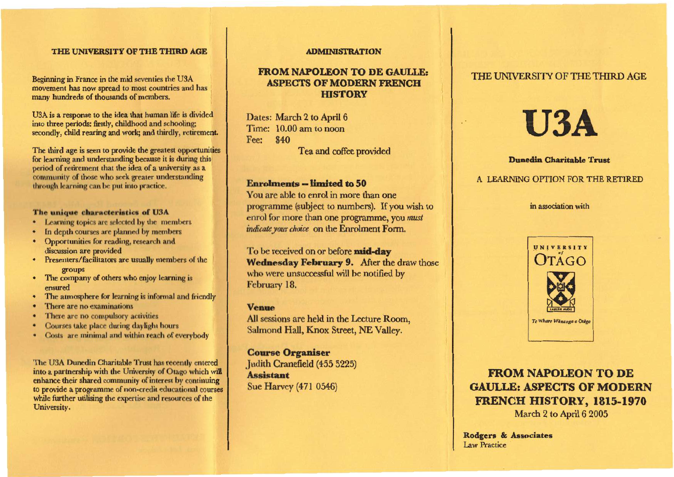## **THE UNIVERSITY OF THE THIRD AGE**

Beginning in France in the mid seventies the U3A movement has now spread to most countries and has many hundreds of thousands of members.

U3A is a response to the idea that human life is divided into three periods: firstly, childhood and schooling; secondly, child rearing and work; and thirdly, retirement.

The third age is seen to provide the greatest opportunities for learning and understanding because it is during this period of retirement that the idea of a university as a community of those who seek greater understanding through learning can be put into practice.

#### **The unique characteristics of U3A**

- Learning topics are selected by the members
- In depth courses are planned by members
- Opportunities for reading, research and discussion are provided
- Presenters/facilitators are usually members of the groups
- The company of others who enjoy learning is ensured
- The atmosphere for learning is informal and friendly
- There are no examinations
- There are no compulsory activities
- Courses take place during daylight hours
- Costs are minimal and within reach of everybody

The U3A Dunedin Charitable Trust has recently entered into a partnership with the University of Otago which will enhance their shared community of interest by continuing to provide a programme of non-credit educational courses while further utilising the expertise and resources of the University.

#### **ADMINISTRATION**

# **FROM NAPOLEON TO DE GAULLE: ASPECTS OF MODERN FRENCH HISTORY**

Dates: March 2 to April 6 Time: 10.00 am to noon Fee: \$40 Tea and coffee provided

### **Enrolments -- limited to 50**

You are able to enrol in more than one programme (subject to numbers). If you wish to enrol for more than one programme, you *must indicate your choice* on the Enrolment Form.

To be received on or before **mid-day Wednesday February 9.** After the draw those who were unsuccessful will be notified by February 18.

#### **Venue**

All sessions are held in the Lecture Room, Salmond Hall, Knox Street, NE Valley.

## **Course Organiser**

Judith Cranefield (455 5225) **Assistant**  Sue Harvey (471 0546)

## THE UNIVERSITY OF THE THIRD AGE

# **U3A**

#### **Dunedin Charitable Trust**

## A LEARNING OPTION FOR THE RETIRED

#### in association with



**FROM NAPOLEON TO DE GAULLE: ASPECTS OF MODERN FRENCH HISTORY, 1815-1970**  March 2 to April 6 2005

**Rodgers & Associates**  Law Practice